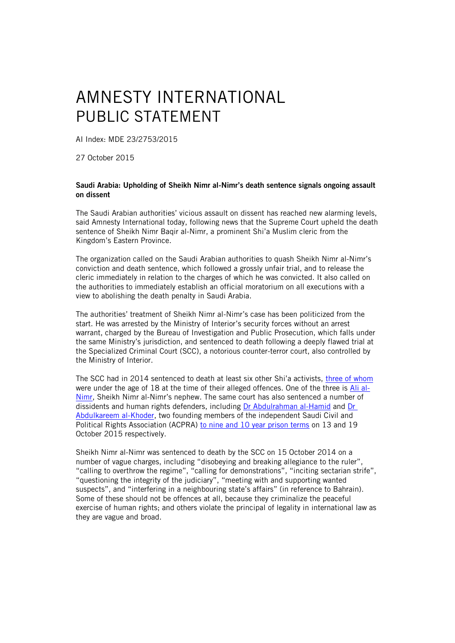## AMNESTY INTERNATIONAL PUBLIC STATEMENT

AI Index: MDE 23/2753/2015

27 October 2015

## Saudi Arabia: Upholding of Sheikh Nimr al-Nimr's death sentence signals ongoing assault on dissent

The Saudi Arabian authorities' vicious assault on dissent has reached new alarming levels, said Amnesty International today, following news that the Supreme Court upheld the death sentence of Sheikh Nimr Baqir al-Nimr, a prominent Shi'a Muslim cleric from the Kingdom's Eastern Province.

The organization called on the Saudi Arabian authorities to quash Sheikh Nimr al-Nimr's conviction and death sentence, which followed a grossly unfair trial, and to release the cleric immediately in relation to the charges of which he was convicted. It also called on the authorities to immediately establish an official moratorium on all executions with a view to abolishing the death penalty in Saudi Arabia.

The authorities' treatment of Sheikh Nimr al-Nimr's case has been politicized from the start. He was arrested by the Ministry of Interior's security forces without an arrest warrant, charged by the Bureau of Investigation and Public Prosecution, which falls under the same Ministry's jurisdiction, and sentenced to death following a deeply flawed trial at the Specialized Criminal Court (SCC), a notorious counter-terror court, also controlled by the Ministry of Interior.

The SCC had in 2014 sentenced to death at least six other Shi'a activists, [three of whom](https://www.amnesty.org/en/latest/news/2015/10/saudi-arabia-three-young-activists-could-soon-be-executed/) were under the age of 18 at the time of their alleged offences. One of the three is [Ali al-](https://www.amnesty.org/en/documents/mde23/2674/2015/en/)[Nimr,](https://www.amnesty.org/en/documents/mde23/2674/2015/en/) Sheikh Nimr al-Nimr's nephew. The same court has also sentenced a number of dissidents and human rights defenders, including [Dr Abdulrahman al-Hamid](https://www.amnesty.org/en/documents/mde23/2663/2015/en/) and [Dr](https://www.amnesty.org/en/documents/mde23/2715/2015/en/)  [Abdulkareem al-Khoder,](https://www.amnesty.org/en/documents/mde23/2715/2015/en/) two founding members of the independent Saudi Civil and Political Rights Association (ACPRA) [to nine and 10 year prison terms](https://www.amnesty.org/en/latest/news/2015/10/saudi-arabia-prisoner-of-conscience-latest-to-be-convicted-in-counter-terror-purge-of-human-rights-ngo/) on 13 and 19 October 2015 respectively.

Sheikh Nimr al-Nimr was sentenced to death by the SCC on 15 October 2014 on a number of vague charges, including "disobeying and breaking allegiance to the ruler", "calling to overthrow the regime", "calling for demonstrations", "inciting sectarian strife", "questioning the integrity of the judiciary", "meeting with and supporting wanted suspects", and "interfering in a neighbouring state's affairs" (in reference to Bahrain). Some of these should not be offences at all, because they criminalize the peaceful exercise of human rights; and others violate the principal of legality in international law as they are vague and broad.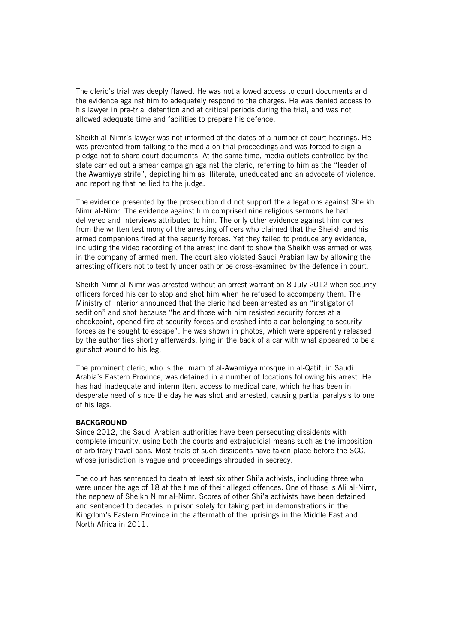The cleric's trial was deeply flawed. He was not allowed access to court documents and the evidence against him to adequately respond to the charges. He was denied access to his lawyer in pre-trial detention and at critical periods during the trial, and was not allowed adequate time and facilities to prepare his defence.

Sheikh al-Nimr's lawyer was not informed of the dates of a number of court hearings. He was prevented from talking to the media on trial proceedings and was forced to sign a pledge not to share court documents. At the same time, media outlets controlled by the state carried out a smear campaign against the cleric, referring to him as the "leader of the Awamiyya strife", depicting him as illiterate, uneducated and an advocate of violence, and reporting that he lied to the judge.

The evidence presented by the prosecution did not support the allegations against Sheikh Nimr al-Nimr. The evidence against him comprised nine religious sermons he had delivered and interviews attributed to him. The only other evidence against him comes from the written testimony of the arresting officers who claimed that the Sheikh and his armed companions fired at the security forces. Yet they failed to produce any evidence, including the video recording of the arrest incident to show the Sheikh was armed or was in the company of armed men. The court also violated Saudi Arabian law by allowing the arresting officers not to testify under oath or be cross-examined by the defence in court.

Sheikh Nimr al-Nimr was arrested without an arrest warrant on 8 July 2012 when security officers forced his car to stop and shot him when he refused to accompany them. The Ministry of Interior announced that the cleric had been arrested as an "instigator of sedition" and shot because "he and those with him resisted security forces at a checkpoint, opened fire at security forces and crashed into a car belonging to security forces as he sought to escape". He was shown in photos, which were apparently released by the authorities shortly afterwards, lying in the back of a car with what appeared to be a gunshot wound to his leg.

The prominent cleric, who is the Imam of al-Awamiyya mosque in al-Qatif, in Saudi Arabia's Eastern Province, was detained in a number of locations following his arrest. He has had inadequate and intermittent access to medical care, which he has been in desperate need of since the day he was shot and arrested, causing partial paralysis to one of his legs.

## **BACKGROUND**

Since 2012, the Saudi Arabian authorities have been persecuting dissidents with complete impunity, using both the courts and extrajudicial means such as the imposition of arbitrary travel bans. Most trials of such dissidents have taken place before the SCC, whose jurisdiction is vague and proceedings shrouded in secrecy.

The court has sentenced to death at least six other Shi'a activists, including three who were under the age of 18 at the time of their alleged offences. One of those is Ali al-Nimr, the nephew of Sheikh Nimr al-Nimr. Scores of other Shi'a activists have been detained and sentenced to decades in prison solely for taking part in demonstrations in the Kingdom's Eastern Province in the aftermath of the uprisings in the Middle East and North Africa in 2011.